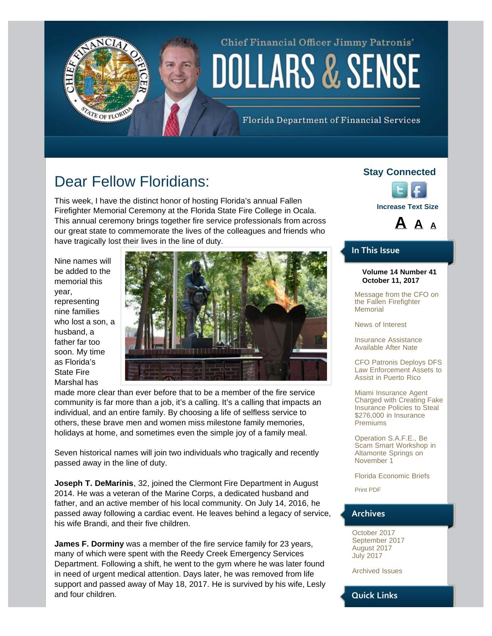# Chief Financial Officer Jimmy Patronis' **DOLLARS & SENSE**

Florida Department of Financial Services

# Dear Fellow Floridians:

<span id="page-0-0"></span>TE OF FLORID

This week, I have the distinct honor of hosting Florida's annual Fallen Firefighter Memorial Ceremony at the Florida State Fire College in Ocala. This annual ceremony brings together fire service professionals from across our great state to commemorate the lives of the colleagues and friends who have tragically lost their lives in the line of duty.

Nine names will be added to the memorial this year, representing nine families who lost a son, a husband, a father far too soon. My time as Florida's State Fire Marshal has



made more clear than ever before that to be a member of the fire service community is far more than a job, it's a calling. It's a calling that impacts an individual, and an entire family. By choosing a life of selfless service to others, these brave men and women miss milestone family memories, holidays at home, and sometimes even the simple joy of a family meal.

Seven historical names will join two individuals who tragically and recently passed away in the line of duty.

**Joseph T. DeMarinis**, 32, joined the Clermont Fire Department in August 2014. He was a veteran of the Marine Corps, a dedicated husband and father, and an active member of his local community. On July 14, 2016, he passed away following a cardiac event. He leaves behind a legacy of service, his wife Brandi, and their five children.

**James F. Dorminy** was a member of the fire service family for 23 years, many of which were spent with the Reedy Creek Emergency Services Department. Following a shift, he went to the gym where he was later found in need of urgent medical attention. Days later, he was removed from life support and passed away of May 18, 2017. He is survived by his wife, Lesly and four children.

#### **Stay Connected**





#### **In This Issue**

#### **Volume 14 Number 41 October 11, 2017**

[Message from the CFO on](#page-0-0) [the Fallen Firefighter](#page-0-0) **[Memorial](#page-0-0)** 

[News of Interest](#page-2-0)

[Insurance Assistance](#page-3-0) [Available After Nate](#page-3-0)

[CFO Patronis Deploys DFS](#page-3-1) [Law Enforcement Assets to](#page-3-1) [Assist in Puerto Rico](#page-3-1)

[Miami Insurance Agent](#page-4-0) [Charged with Creating Fake](#page-4-0) [Insurance Policies to Steal](#page-4-0) [\\$276,000 in Insurance](#page-4-0) [Premiums](#page-4-0)

[Operation S.A.F.E., Be](#page-5-0) [Scam Smart Workshop in](#page-5-0) [Altamonte Springs on](#page-5-0) [November 1](#page-5-0)

[Florida Economic Briefs](#page-5-1)

[Print PDF](http://www.myfloridacfo.com/PressOffice/Newsletter/2017/101117/CFOPatronisDollarsSense101117.pdf)

#### **Archives**

[October 2017](http://staging.fldoi.gov/pressoffice/newsletter/newsletter_archivenew.htm#4) [September 2017](http://staging.fldoi.gov/pressoffice/newsletter/newsletter_archivenew.htm#3) [August 2017](http://staging.fldoi.gov/pressoffice/newsletter/newsletter_archivenew.htm#2) [July 2017](http://staging.fldoi.gov/pressoffice/newsletter/newsletter_archivenew.htm#1)

[Archived Issues](http://staging.fldoi.gov/pressoffice/newsletter/2014Issues.aspx#2017)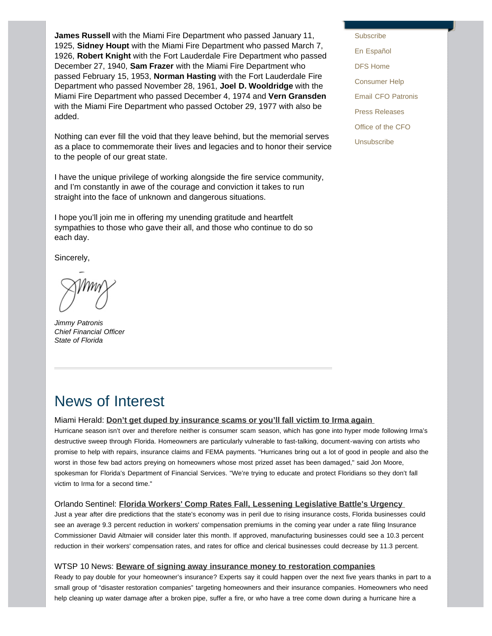**James Russell** with the Miami Fire Department who passed January 11, 1925, **Sidney Houpt** with the Miami Fire Department who passed March 7, 1926, **Robert Knight** with the Fort Lauderdale Fire Department who passed December 27, 1940, **Sam Frazer** with the Miami Fire Department who passed February 15, 1953, **Norman Hasting** with the Fort Lauderdale Fire Department who passed November 28, 1961, **Joel D. Wooldridge** with the Miami Fire Department who passed December 4, 1974 and **Vern Gransden** with the Miami Fire Department who passed October 29, 1977 with also be added.

Nothing can ever fill the void that they leave behind, but the memorial serves as a place to commemorate their lives and legacies and to honor their service to the people of our great state.

I have the unique privilege of working alongside the fire service community, and I'm constantly in awe of the courage and conviction it takes to run straight into the face of unknown and dangerous situations.

I hope you'll join me in offering my unending gratitude and heartfelt sympathies to those who gave their all, and those who continue to do so each day.

Sincerely,

*Jimmy Patronis Chief Financial Officer State of Florida* 

### [En Español](http://espanol.myfloridacfo.com/) [DFS Home](http://www.myfloridacfo.com/) [Consumer Help](http://www.myfloridacfo.com/Division/Consumers/needourhelp.htm) [Email CFO Patronis](mailto:CFO.Patronis@MyFloridaCFO.com) [Press Releases](http://www.myfloridacfo.com/sitePages/newsroom/default.aspx) [Office of the CFO](http://www.myfloridacfo.com/division/cfo/) **[Unsubscribe](http://dfs.imarcsgroup.com/subscriber/unsubscribe/)**

**[Subscribe](http://dfs.imarcsgroup.com/home/)** 

### News of Interest

#### Miami Herald: **[Don't get duped by insurance scams or you'll fall victim to Irma again](http://www.miamiherald.com/news/weather/hurricane/article178051066.html)**

Hurricane season isn't over and therefore neither is consumer scam season, which has gone into hyper mode following Irma's destructive sweep through Florida. Homeowners are particularly vulnerable to fast-talking, document-waving con artists who promise to help with repairs, insurance claims and FEMA payments. "Hurricanes bring out a lot of good in people and also the worst in those few bad actors preying on homeowners whose most prized asset has been damaged," said Jon Moore, spokesman for Florida's Department of Financial Services. "We're trying to educate and protect Floridians so they don't fall victim to Irma for a second time."

#### Orlando Sentinel: **[Florida Workers' Comp Rates Fall, Lessening Legislative Battle's Urgency](http://www.orlandosentinel.com/business/os-bz-nsf-florida-workers-comp-20171005-story.html)**

Just a year after dire predictions that the state's economy was in peril due to rising insurance costs, Florida businesses could see an average 9.3 percent reduction in workers' compensation premiums in the coming year under a rate filing Insurance Commissioner David Altmaier will consider later this month. If approved, manufacturing businesses could see a 10.3 percent reduction in their workers' compensation rates, and rates for office and clerical businesses could decrease by 11.3 percent.

#### WTSP 10 News: **[Beware of signing away insurance money to restoration companies](http://www.wtsp.com/news/local/beware-of-signing-away-insurance-money-to-restoration-companies/482131929)**

Ready to pay double for your homeowner's insurance? Experts say it could happen over the next five years thanks in part to a small group of "disaster restoration companies" targeting homeowners and their insurance companies. Homeowners who need help cleaning up water damage after a broken pipe, suffer a fire, or who have a tree come down during a hurricane hire a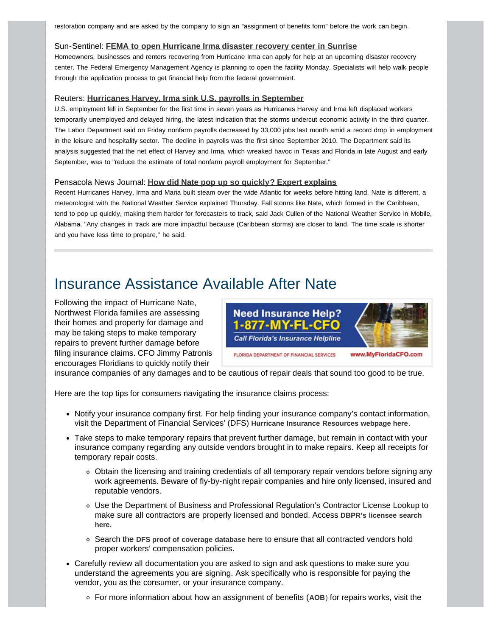<span id="page-2-0"></span>restoration company and are asked by the company to sign an "assignment of benefits form" before the work can begin.

#### Sun-Sentinel: **[FEMA to open Hurricane Irma disaster recovery center in Sunrise](http://www.sun-sentinel.com/news/weather/hurricane/fl-sb-sunrise-irma-disaster-center-20171008-story.html)**

Homeowners, businesses and renters recovering from Hurricane Irma can apply for help at an upcoming disaster recovery center. The Federal Emergency Management Agency is planning to open the facility Monday. Specialists will help walk people through the application process to get financial help from the federal government.

#### Reuters: **[Hurricanes Harvey, Irma sink U.S. payrolls in September](https://www.reuters.com/article/us-usa-economy/u-s-payrolls-shrink-in-september-after-hurricanes-harvey-irma-idUSKBN1CB0D3)**

U.S. employment fell in September for the first time in seven years as Hurricanes Harvey and Irma left displaced workers temporarily unemployed and delayed hiring, the latest indication that the storms undercut economic activity in the third quarter. The Labor Department said on Friday nonfarm payrolls decreased by 33,000 jobs last month amid a record drop in employment in the leisure and hospitality sector. The decline in payrolls was the first since September 2010. The Department said its analysis suggested that the net effect of Harvey and Irma, which wreaked havoc in Texas and Florida in late August and early September, was to "reduce the estimate of total nonfarm payroll employment for September."

#### Pensacola News Journal: **[How did Nate pop up so quickly? Expert explains](http://www.pnj.com/story/news/2017/10/05/how-did-nate-pop-up-so-quickly-expert-explains/736419001/)**

Recent Hurricanes Harvey, Irma and Maria built steam over the wide Atlantic for weeks before hitting land. Nate is different, a meteorologist with the National Weather Service explained Thursday. Fall storms like Nate, which formed in the Caribbean, tend to pop up quickly, making them harder for forecasters to track, said Jack Cullen of the National Weather Service in Mobile, Alabama. "Any changes in track are more impactful because (Caribbean storms) are closer to land. The time scale is shorter and you have less time to prepare," he said.

### Insurance Assistance Available After Nate

Following the impact of Hurricane Nate, Northwest Florida families are assessing their homes and property for damage and may be taking steps to make temporary repairs to prevent further damage before filing insurance claims. CFO Jimmy Patronis encourages Floridians to quickly notify their



insurance companies of any damages and to be cautious of repair deals that sound too good to be true.

Here are the top tips for consumers navigating the insurance claims process:

- Notify your insurance company first. For help finding your insurance company's contact information, visit the Department of Financial Services' (DFS) **[Hurricane Insurance Resources webpage here](http://www.myfloridacfo.com/Division/Consumers/understandingCoverage/Guides/documents/NaturalDisaster.pdf)**.
- Take steps to make temporary repairs that prevent further damage, but remain in contact with your insurance company regarding any outside vendors brought in to make repairs. Keep all receipts for temporary repair costs.
	- Obtain the licensing and training credentials of all temporary repair vendors before signing any work agreements. Beware of fly-by-night repair companies and hire only licensed, insured and reputable vendors.
	- Use the Department of Business and Professional Regulation's Contractor License Lookup to make sure all contractors are properly licensed and bonded. Access **[DBPR's licensee search](https://www.myfloridalicense.com/wl11.asp) [here.](https://www.myfloridalicense.com/wl11.asp)**
	- Search the **[DFS proof of coverage database here](https://apps8.fldfs.com/proofofcoverage/Search.aspx)** to ensure that all contracted vendors hold proper workers' compensation policies.
- Carefully review all documentation you are asked to sign and ask questions to make sure you understand the agreements you are signing. Ask specifically who is responsible for paying the vendor, you as the consumer, or your insurance company.
	- For more information about how an assignment of benefits (**[AOB](http://www.myfloridacfo.com/Division/Consumers/AssignmentofBenefits.htm)**[\)](http://www.myfloridacfo.com/Division/Consumers/AssignmentofBenefits.htm) for repairs works, visit the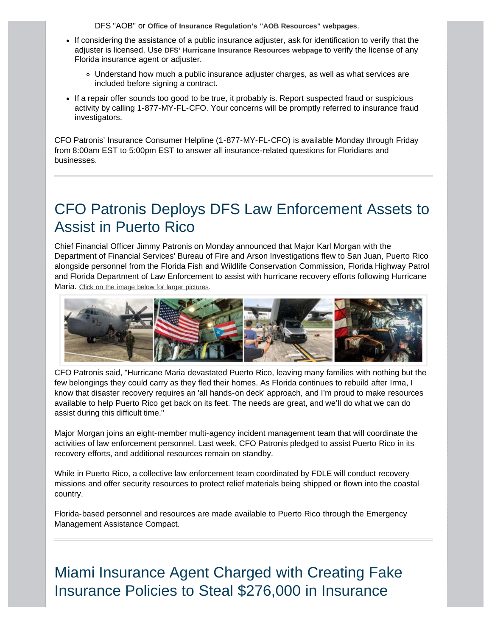<span id="page-3-0"></span>DFS "AOB" or **[Office of Insurance Regulation's "AOB Resources" webpages](http://www.floir.com/Sections/PandC/AssignmentofBenefits.aspx)**.

- If considering the assistance of a public insurance adjuster, ask for identification to verify that the adjuster is licensed. Use **[DFS' Hurricane Insurance Resources webpage](http://www.myfloridacfo.com/Division/Consumers/AssignmentofBenefits.htm)** to verify the license of any Florida insurance agent or adjuster.
	- Understand how much a public insurance adjuster charges, as well as what services are included before signing a contract.
- If a repair offer sounds too good to be true, it probably is. Report suspected fraud or suspicious activity by calling 1-877-MY-FL-CFO. Your concerns will be promptly referred to insurance fraud investigators.

CFO Patronis' Insurance Consumer Helpline (1-877-MY-FL-CFO) is available Monday through Friday from 8:00am EST to 5:00pm EST to answer all insurance-related questions for Floridians and businesses.

### <span id="page-3-1"></span>CFO Patronis Deploys DFS Law Enforcement Assets to Assist in Puerto Rico

Chief Financial Officer Jimmy Patronis on Monday announced that Major Karl Morgan with the Department of Financial Services' Bureau of Fire and Arson Investigations flew to San Juan, Puerto Rico alongside personnel from the Florida Fish and Wildlife Conservation Commission, Florida Highway Patrol and Florida Department of Law Enforcement to assist with hurricane recovery efforts following Hurricane Maria. [Click on the image below for larger pictures](http://staging.fldoi.gov/PressOffice/Newsletter/2017/101117/PuertoRico2017.htm).



CFO Patronis said, "Hurricane Maria devastated Puerto Rico, leaving many families with nothing but the few belongings they could carry as they fled their homes. As Florida continues to rebuild after Irma, I know that disaster recovery requires an 'all hands-on deck' approach, and I'm proud to make resources available to help Puerto Rico get back on its feet. The needs are great, and we'll do what we can do assist during this difficult time."

Major Morgan joins an eight-member multi-agency incident management team that will coordinate the activities of law enforcement personnel. Last week, CFO Patronis pledged to assist Puerto Rico in its recovery efforts, and additional resources remain on standby.

While in Puerto Rico, a collective law enforcement team coordinated by FDLE will conduct recovery missions and offer security resources to protect relief materials being shipped or flown into the coastal country.

Florida-based personnel and resources are made available to Puerto Rico through the Emergency Management Assistance Compact.

# Miami Insurance Agent Charged with Creating Fake Insurance Policies to Steal \$276,000 in Insurance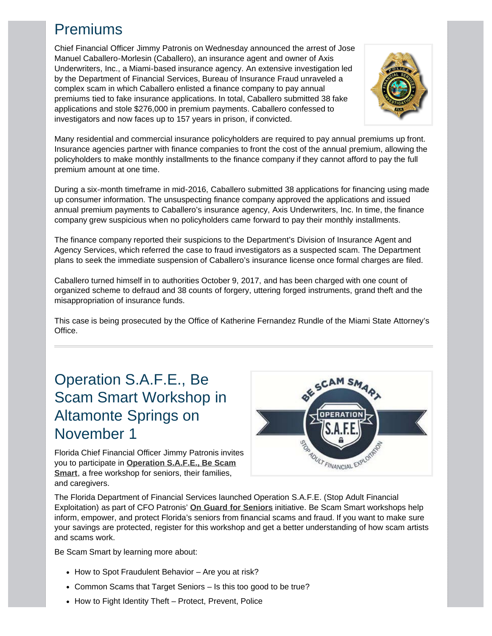# <span id="page-4-0"></span>Premiums

Chief Financial Officer Jimmy Patronis on Wednesday announced the arrest of Jose Manuel Caballero-Morlesin (Caballero), an insurance agent and owner of Axis Underwriters, Inc., a Miami-based insurance agency. An extensive investigation led by the Department of Financial Services, Bureau of Insurance Fraud unraveled a complex scam in which Caballero enlisted a finance company to pay annual premiums tied to fake insurance applications. In total, Caballero submitted 38 fake applications and stole \$276,000 in premium payments. Caballero confessed to investigators and now faces up to 157 years in prison, if convicted.



Many residential and commercial insurance policyholders are required to pay annual premiums up front. Insurance agencies partner with finance companies to front the cost of the annual premium, allowing the policyholders to make monthly installments to the finance company if they cannot afford to pay the full premium amount at one time.

During a six-month timeframe in mid-2016, Caballero submitted 38 applications for financing using made up consumer information. The unsuspecting finance company approved the applications and issued annual premium payments to Caballero's insurance agency, Axis Underwriters, Inc. In time, the finance company grew suspicious when no policyholders came forward to pay their monthly installments.

The finance company reported their suspicions to the Department's Division of Insurance Agent and Agency Services, which referred the case to fraud investigators as a suspected scam. The Department plans to seek the immediate suspension of Caballero's insurance license once formal charges are filed.

Caballero turned himself in to authorities October 9, 2017, and has been charged with one count of organized scheme to defraud and 38 counts of forgery, uttering forged instruments, grand theft and the misappropriation of insurance funds.

This case is being prosecuted by the Office of Katherine Fernandez Rundle of the Miami State Attorney's Office.

# Operation S.A.F.E., Be Scam Smart Workshop in Altamonte Springs on November 1

Florida Chief Financial Officer Jimmy Patronis invites you to participate in **[Operation S.A.F.E., Be Scam](http://www.myfloridacfo.com/safe/) [Smart](http://www.myfloridacfo.com/safe/)**, a free workshop for seniors, their families, and caregivers.



The Florida Department of Financial Services launched Operation S.A.F.E. (Stop Adult Financial Exploitation) as part of CFO Patronis' **[On Guard for Seniors](http://www.myfloridacfo.com/OnGuard/)** initiative. Be Scam Smart workshops help inform, empower, and protect Florida's seniors from financial scams and fraud. If you want to make sure your savings are protected, register for this workshop and get a better understanding of how scam artists and scams work.

Be Scam Smart by learning more about:

- How to Spot Fraudulent Behavior Are you at risk?
- Common Scams that Target Seniors Is this too good to be true?
- How to Fight Identity Theft Protect, Prevent, Police